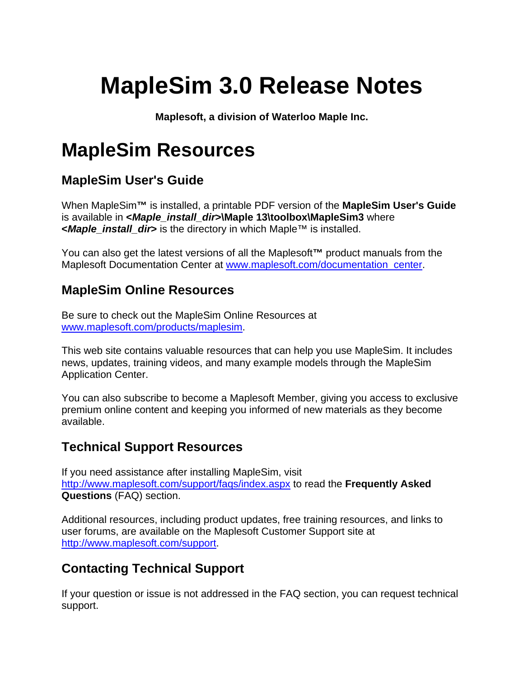# **MapleSim 3.0 Release Notes**

**Maplesoft, a division of Waterloo Maple Inc.** 

# **MapleSim Resources**

## **MapleSim User's Guide**

When MapleSim**™** is installed, a printable PDF version of the **MapleSim User's Guide** is available in **<***Maple\_install\_dir***>\Maple 13\toolbox\MapleSim3** where **<***Maple\_install\_dir***>** is the directory in which Maple™ is installed.

You can also get the latest versions of all the Maplesoft**™** product manuals from the Maplesoft Documentation Center at www.maplesoft.com/documentation\_center.

#### **MapleSim Online Resources**

Be sure to check out the MapleSim Online Resources at www.maplesoft.com/products/maplesim.

This web site contains valuable resources that can help you use MapleSim. It includes news, updates, training videos, and many example models through the MapleSim Application Center.

You can also subscribe to become a Maplesoft Member, giving you access to exclusive premium online content and keeping you informed of new materials as they become available.

### **Technical Support Resources**

If you need assistance after installing MapleSim, visit http://www.maplesoft.com/support/faqs/index.aspx to read the **Frequently Asked Questions** (FAQ) section.

Additional resources, including product updates, free training resources, and links to user forums, are available on the Maplesoft Customer Support site at http://www.maplesoft.com/support.

### **Contacting Technical Support**

If your question or issue is not addressed in the FAQ section, you can request technical support.